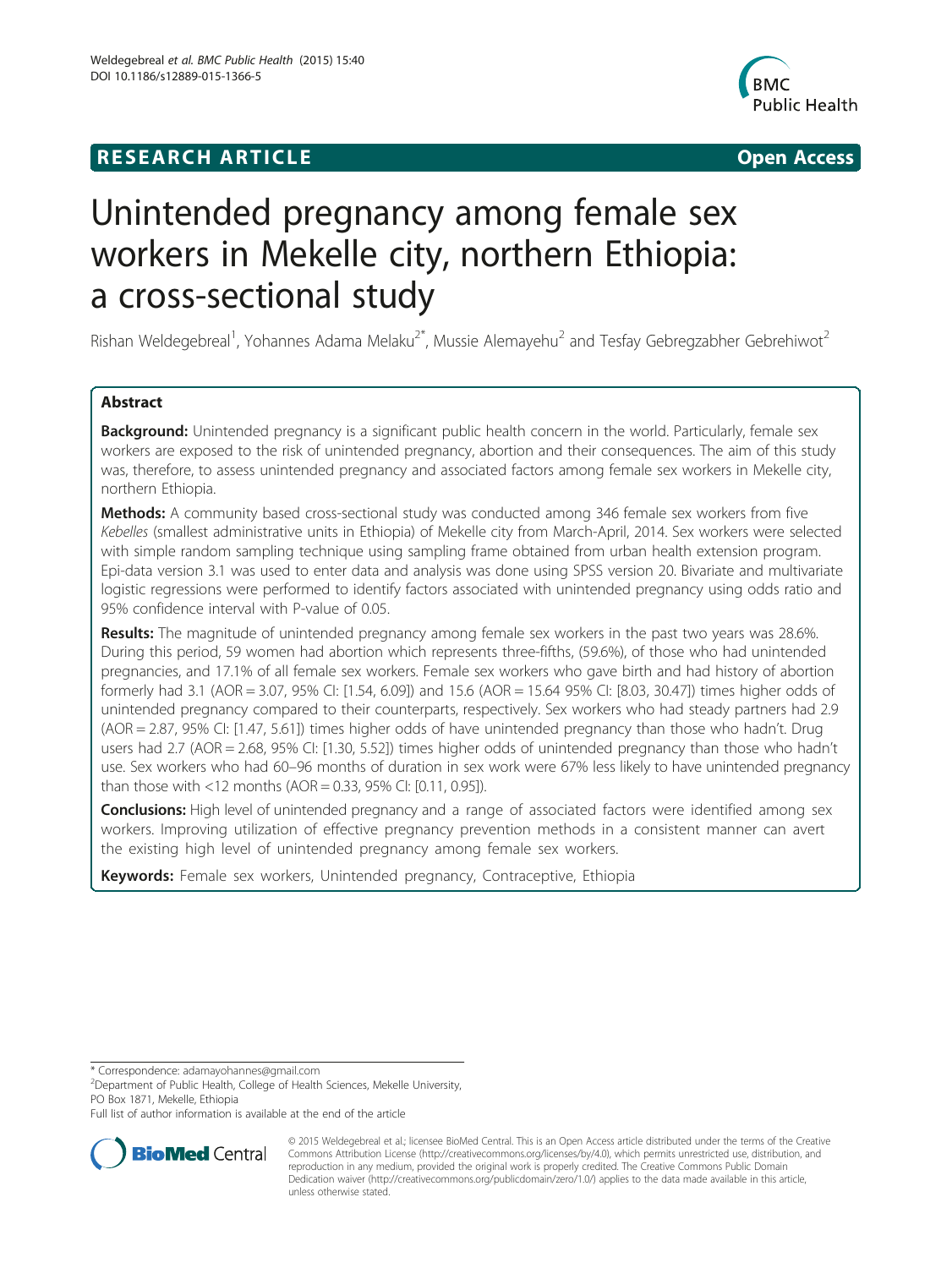# **RESEARCH ARTICLE Example 2008 CONSIDERING CONSIDERING CONSIDERING CONSIDERING CONSIDERING CONSIDERING CONSIDERING CONSIDERING CONSIDERING CONSIDERING CONSIDERING CONSIDERING CONSIDERING CONSIDERING CONSIDERING CONSIDE**



# Unintended pregnancy among female sex workers in Mekelle city, northern Ethiopia: a cross-sectional study

Rishan Weldegebreal<sup>1</sup>, Yohannes Adama Melaku<sup>2\*</sup>, Mussie Alemayehu<sup>2</sup> and Tesfay Gebregzabher Gebrehiwot<sup>2</sup>

# Abstract

Background: Unintended pregnancy is a significant public health concern in the world. Particularly, female sex workers are exposed to the risk of unintended pregnancy, abortion and their consequences. The aim of this study was, therefore, to assess unintended pregnancy and associated factors among female sex workers in Mekelle city, northern Ethiopia.

Methods: A community based cross-sectional study was conducted among 346 female sex workers from five Kebelles (smallest administrative units in Ethiopia) of Mekelle city from March-April, 2014. Sex workers were selected with simple random sampling technique using sampling frame obtained from urban health extension program. Epi-data version 3.1 was used to enter data and analysis was done using SPSS version 20. Bivariate and multivariate logistic regressions were performed to identify factors associated with unintended pregnancy using odds ratio and 95% confidence interval with P-value of 0.05.

Results: The magnitude of unintended pregnancy among female sex workers in the past two years was 28.6%. During this period, 59 women had abortion which represents three-fifths, (59.6%), of those who had unintended pregnancies, and 17.1% of all female sex workers. Female sex workers who gave birth and had history of abortion formerly had 3.1 (AOR = 3.07, 95% CI: [1.54, 6.09]) and 15.6 (AOR = 15.64 95% CI: [8.03, 30.47]) times higher odds of unintended pregnancy compared to their counterparts, respectively. Sex workers who had steady partners had 2.9 (AOR = 2.87, 95% CI: [1.47, 5.61]) times higher odds of have unintended pregnancy than those who hadn't. Drug users had 2.7 (AOR = 2.68, 95% CI: [1.30, 5.52]) times higher odds of unintended pregnancy than those who hadn't use. Sex workers who had 60–96 months of duration in sex work were 67% less likely to have unintended pregnancy than those with  $<$ 12 months (AOR = 0.33, 95% CI: [0.11, 0.95]).

**Conclusions:** High level of unintended pregnancy and a range of associated factors were identified among sex workers. Improving utilization of effective pregnancy prevention methods in a consistent manner can avert the existing high level of unintended pregnancy among female sex workers.

Keywords: Female sex workers, Unintended pregnancy, Contraceptive, Ethiopia

\* Correspondence: [adamayohannes@gmail.com](mailto:adamayohannes@gmail.com) <sup>2</sup>

<sup>2</sup>Department of Public Health, College of Health Sciences, Mekelle University, PO Box 1871, Mekelle, Ethiopia

Full list of author information is available at the end of the article



© 2015 Weldegebreal et al.; licensee BioMed Central. This is an Open Access article distributed under the terms of the Creative Commons Attribution License [\(http://creativecommons.org/licenses/by/4.0\)](http://creativecommons.org/licenses/by/4.0), which permits unrestricted use, distribution, and reproduction in any medium, provided the original work is properly credited. The Creative Commons Public Domain Dedication waiver [\(http://creativecommons.org/publicdomain/zero/1.0/](http://creativecommons.org/publicdomain/zero/1.0/)) applies to the data made available in this article, unless otherwise stated.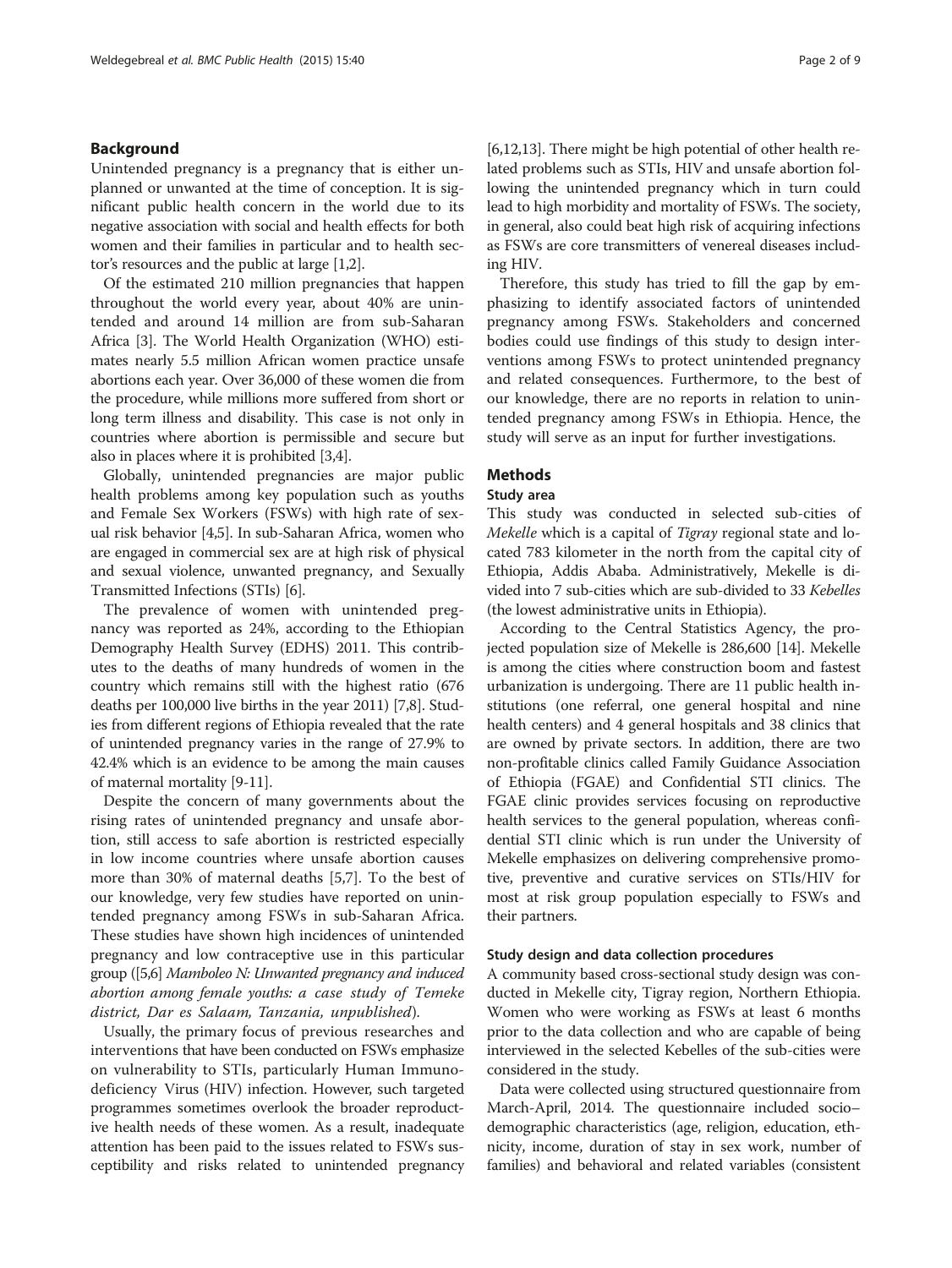# Background

Unintended pregnancy is a pregnancy that is either unplanned or unwanted at the time of conception. It is significant public health concern in the world due to its negative association with social and health effects for both women and their families in particular and to health sector's resources and the public at large [[1,2](#page-8-0)].

Of the estimated 210 million pregnancies that happen throughout the world every year, about 40% are unintended and around 14 million are from sub-Saharan Africa [\[3\]](#page-8-0). The World Health Organization (WHO) estimates nearly 5.5 million African women practice unsafe abortions each year. Over 36,000 of these women die from the procedure, while millions more suffered from short or long term illness and disability. This case is not only in countries where abortion is permissible and secure but also in places where it is prohibited [\[3,4\]](#page-8-0).

Globally, unintended pregnancies are major public health problems among key population such as youths and Female Sex Workers (FSWs) with high rate of sexual risk behavior [\[4,5\]](#page-8-0). In sub-Saharan Africa, women who are engaged in commercial sex are at high risk of physical and sexual violence, unwanted pregnancy, and Sexually Transmitted Infections (STIs) [\[6](#page-8-0)].

The prevalence of women with unintended pregnancy was reported as 24%, according to the Ethiopian Demography Health Survey (EDHS) 2011. This contributes to the deaths of many hundreds of women in the country which remains still with the highest ratio (676 deaths per 100,000 live births in the year 2011) [\[7,8\]](#page-8-0). Studies from different regions of Ethiopia revealed that the rate of unintended pregnancy varies in the range of 27.9% to 42.4% which is an evidence to be among the main causes of maternal mortality [\[9](#page-8-0)-[11](#page-8-0)].

Despite the concern of many governments about the rising rates of unintended pregnancy and unsafe abortion, still access to safe abortion is restricted especially in low income countries where unsafe abortion causes more than 30% of maternal deaths [\[5,7](#page-8-0)]. To the best of our knowledge, very few studies have reported on unintended pregnancy among FSWs in sub-Saharan Africa. These studies have shown high incidences of unintended pregnancy and low contraceptive use in this particular group ([[5,6\]](#page-8-0) Mamboleo N: Unwanted pregnancy and induced abortion among female youths: a case study of Temeke district, Dar es Salaam, Tanzania, unpublished).

Usually, the primary focus of previous researches and interventions that have been conducted on FSWs emphasize on vulnerability to STIs, particularly Human Immunodeficiency Virus (HIV) infection. However, such targeted programmes sometimes overlook the broader reproductive health needs of these women. As a result, inadequate attention has been paid to the issues related to FSWs susceptibility and risks related to unintended pregnancy

[[6,12,13](#page-8-0)]. There might be high potential of other health related problems such as STIs, HIV and unsafe abortion following the unintended pregnancy which in turn could lead to high morbidity and mortality of FSWs. The society, in general, also could beat high risk of acquiring infections as FSWs are core transmitters of venereal diseases including HIV.

Therefore, this study has tried to fill the gap by emphasizing to identify associated factors of unintended pregnancy among FSWs. Stakeholders and concerned bodies could use findings of this study to design interventions among FSWs to protect unintended pregnancy and related consequences. Furthermore, to the best of our knowledge, there are no reports in relation to unintended pregnancy among FSWs in Ethiopia. Hence, the study will serve as an input for further investigations.

# **Methods**

# Study area

This study was conducted in selected sub-cities of Mekelle which is a capital of Tigray regional state and located 783 kilometer in the north from the capital city of Ethiopia, Addis Ababa. Administratively, Mekelle is divided into 7 sub-cities which are sub-divided to 33 Kebelles (the lowest administrative units in Ethiopia).

According to the Central Statistics Agency, the projected population size of Mekelle is 286,600 [[14](#page-8-0)]. Mekelle is among the cities where construction boom and fastest urbanization is undergoing. There are 11 public health institutions (one referral, one general hospital and nine health centers) and 4 general hospitals and 38 clinics that are owned by private sectors. In addition, there are two non-profitable clinics called Family Guidance Association of Ethiopia (FGAE) and Confidential STI clinics. The FGAE clinic provides services focusing on reproductive health services to the general population, whereas confidential STI clinic which is run under the University of Mekelle emphasizes on delivering comprehensive promotive, preventive and curative services on STIs/HIV for most at risk group population especially to FSWs and their partners.

# Study design and data collection procedures

A community based cross-sectional study design was conducted in Mekelle city, Tigray region, Northern Ethiopia. Women who were working as FSWs at least 6 months prior to the data collection and who are capable of being interviewed in the selected Kebelles of the sub-cities were considered in the study.

Data were collected using structured questionnaire from March-April, 2014. The questionnaire included socio– demographic characteristics (age, religion, education, ethnicity, income, duration of stay in sex work, number of families) and behavioral and related variables (consistent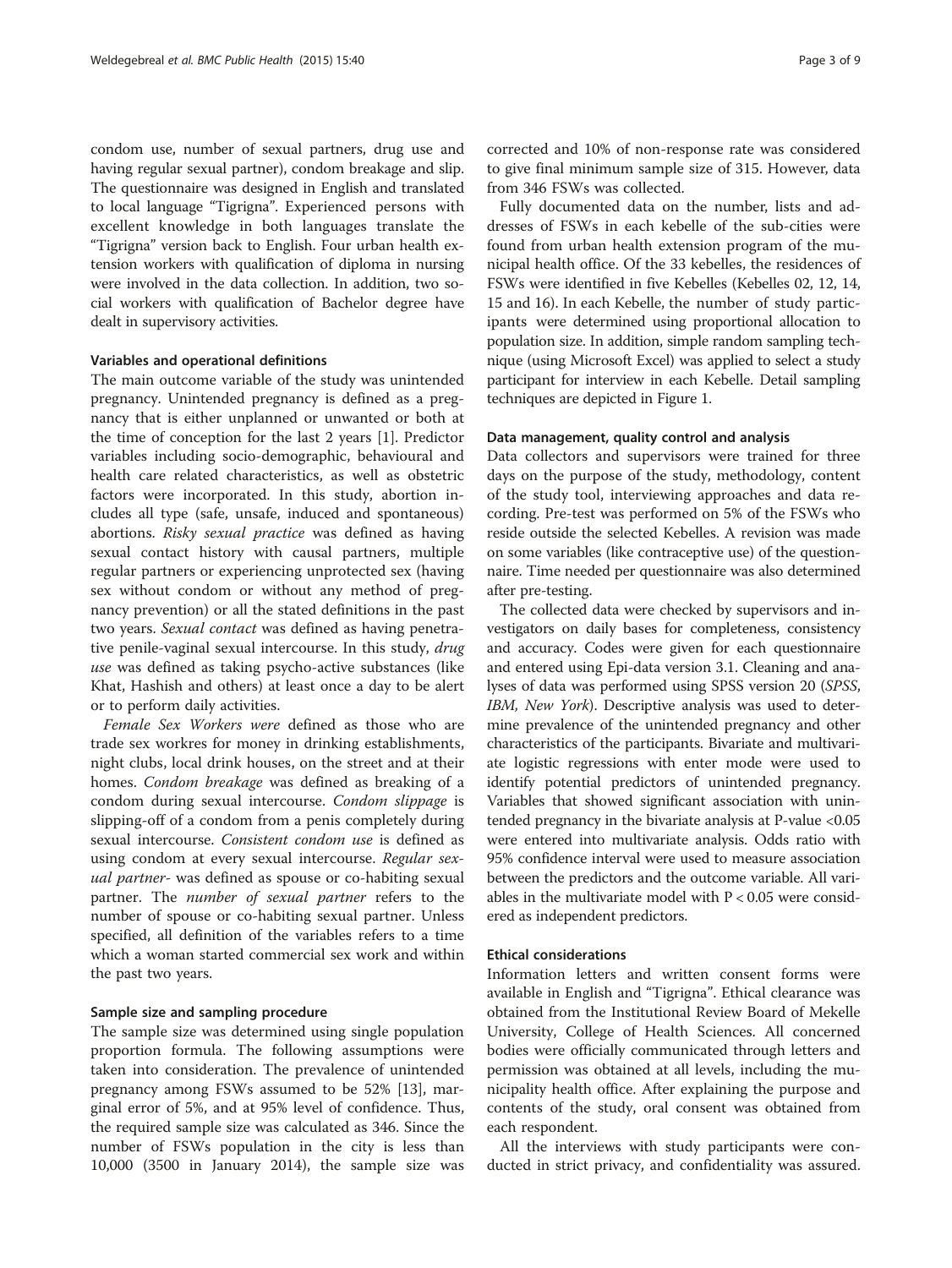condom use, number of sexual partners, drug use and having regular sexual partner), condom breakage and slip. The questionnaire was designed in English and translated to local language "Tigrigna". Experienced persons with excellent knowledge in both languages translate the "Tigrigna" version back to English. Four urban health extension workers with qualification of diploma in nursing were involved in the data collection. In addition, two social workers with qualification of Bachelor degree have dealt in supervisory activities.

# Variables and operational definitions

The main outcome variable of the study was unintended pregnancy. Unintended pregnancy is defined as a pregnancy that is either unplanned or unwanted or both at the time of conception for the last 2 years [\[1](#page-8-0)]. Predictor variables including socio-demographic, behavioural and health care related characteristics, as well as obstetric factors were incorporated. In this study, abortion includes all type (safe, unsafe, induced and spontaneous) abortions. Risky sexual practice was defined as having sexual contact history with causal partners, multiple regular partners or experiencing unprotected sex (having sex without condom or without any method of pregnancy prevention) or all the stated definitions in the past two years. Sexual contact was defined as having penetrative penile-vaginal sexual intercourse. In this study, drug use was defined as taking psycho-active substances (like Khat, Hashish and others) at least once a day to be alert or to perform daily activities.

Female Sex Workers were defined as those who are trade sex workres for money in drinking establishments, night clubs, local drink houses, on the street and at their homes. Condom breakage was defined as breaking of a condom during sexual intercourse. Condom slippage is slipping-off of a condom from a penis completely during sexual intercourse. Consistent condom use is defined as using condom at every sexual intercourse. Regular sexual partner- was defined as spouse or co-habiting sexual partner. The number of sexual partner refers to the number of spouse or co-habiting sexual partner. Unless specified, all definition of the variables refers to a time which a woman started commercial sex work and within the past two years.

## Sample size and sampling procedure

The sample size was determined using single population proportion formula. The following assumptions were taken into consideration. The prevalence of unintended pregnancy among FSWs assumed to be 52% [[13\]](#page-8-0), marginal error of 5%, and at 95% level of confidence. Thus, the required sample size was calculated as 346. Since the number of FSWs population in the city is less than 10,000 (3500 in January 2014), the sample size was

corrected and 10% of non-response rate was considered to give final minimum sample size of 315. However, data from 346 FSWs was collected.

Fully documented data on the number, lists and addresses of FSWs in each kebelle of the sub-cities were found from urban health extension program of the municipal health office. Of the 33 kebelles, the residences of FSWs were identified in five Kebelles (Kebelles 02, 12, 14, 15 and 16). In each Kebelle, the number of study participants were determined using proportional allocation to population size. In addition, simple random sampling technique (using Microsoft Excel) was applied to select a study participant for interview in each Kebelle. Detail sampling techniques are depicted in Figure [1.](#page-3-0)

#### Data management, quality control and analysis

Data collectors and supervisors were trained for three days on the purpose of the study, methodology, content of the study tool, interviewing approaches and data recording. Pre-test was performed on 5% of the FSWs who reside outside the selected Kebelles. A revision was made on some variables (like contraceptive use) of the questionnaire. Time needed per questionnaire was also determined after pre-testing.

The collected data were checked by supervisors and investigators on daily bases for completeness, consistency and accuracy. Codes were given for each questionnaire and entered using Epi-data version 3.1. Cleaning and analyses of data was performed using SPSS version 20 (SPSS, IBM, New York). Descriptive analysis was used to determine prevalence of the unintended pregnancy and other characteristics of the participants. Bivariate and multivariate logistic regressions with enter mode were used to identify potential predictors of unintended pregnancy. Variables that showed significant association with unintended pregnancy in the bivariate analysis at P-value <0.05 were entered into multivariate analysis. Odds ratio with 95% confidence interval were used to measure association between the predictors and the outcome variable. All variables in the multivariate model with  $P < 0.05$  were considered as independent predictors.

# Ethical considerations

Information letters and written consent forms were available in English and "Tigrigna". Ethical clearance was obtained from the Institutional Review Board of Mekelle University, College of Health Sciences. All concerned bodies were officially communicated through letters and permission was obtained at all levels, including the municipality health office. After explaining the purpose and contents of the study, oral consent was obtained from each respondent.

All the interviews with study participants were conducted in strict privacy, and confidentiality was assured.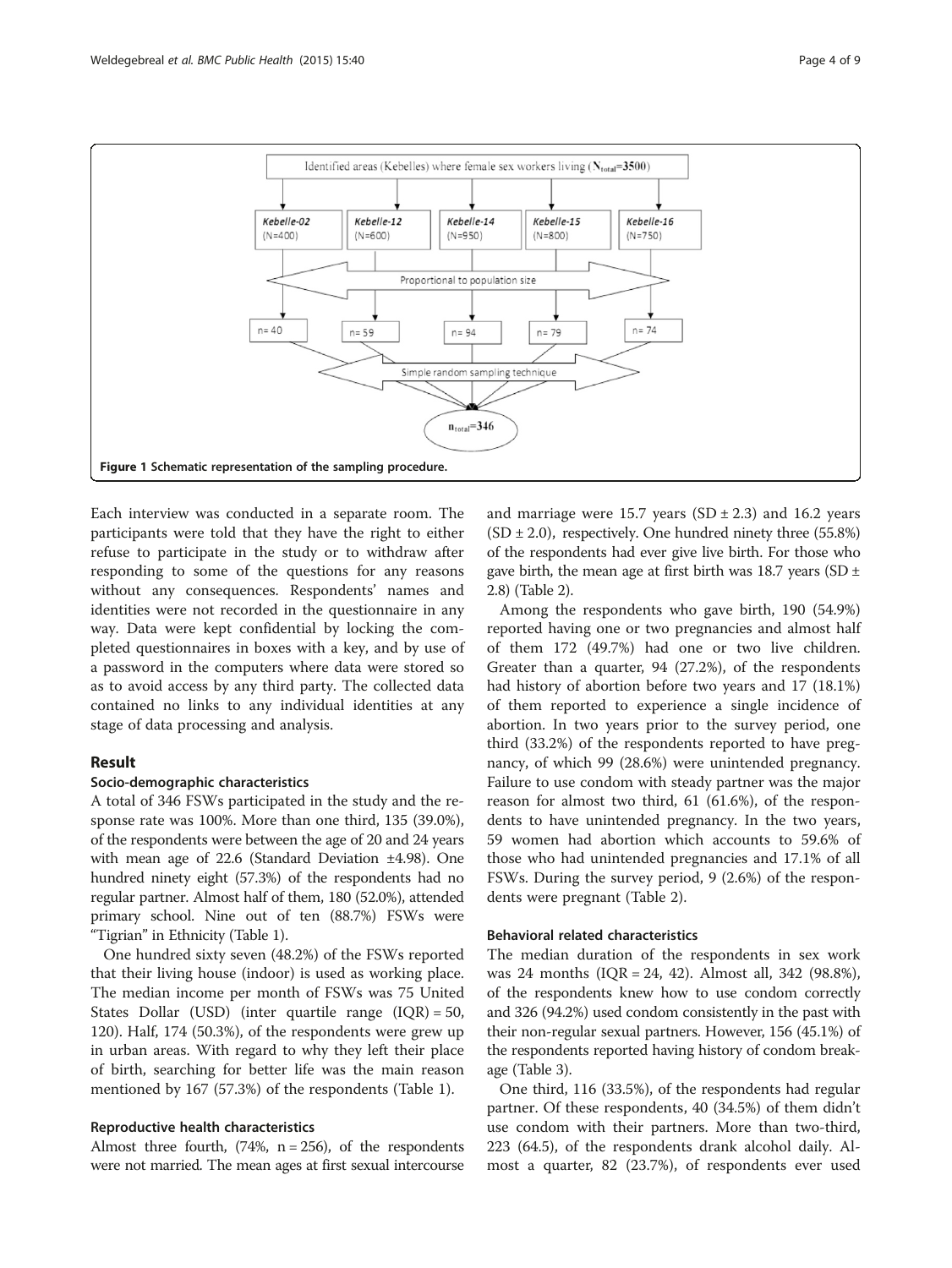<span id="page-3-0"></span>

Each interview was conducted in a separate room. The participants were told that they have the right to either refuse to participate in the study or to withdraw after responding to some of the questions for any reasons without any consequences. Respondents' names and identities were not recorded in the questionnaire in any way. Data were kept confidential by locking the completed questionnaires in boxes with a key, and by use of a password in the computers where data were stored so as to avoid access by any third party. The collected data contained no links to any individual identities at any stage of data processing and analysis.

# Result

## Socio-demographic characteristics

A total of 346 FSWs participated in the study and the response rate was 100%. More than one third, 135 (39.0%), of the respondents were between the age of 20 and 24 years with mean age of 22.6 (Standard Deviation ±4.98). One hundred ninety eight (57.3%) of the respondents had no regular partner. Almost half of them, 180 (52.0%), attended primary school. Nine out of ten (88.7%) FSWs were "Tigrian" in Ethnicity (Table [1](#page-4-0)).

One hundred sixty seven (48.2%) of the FSWs reported that their living house (indoor) is used as working place. The median income per month of FSWs was 75 United States Dollar (USD) (inter quartile range (IQR) = 50, 120). Half, 174 (50.3%), of the respondents were grew up in urban areas. With regard to why they left their place of birth, searching for better life was the main reason mentioned by 167 (57.3%) of the respondents (Table [1](#page-4-0)).

## Reproductive health characteristics

Almost three fourth,  $(74\%, n = 256)$ , of the respondents were not married. The mean ages at first sexual intercourse

and marriage were 15.7 years  $(SD \pm 2.3)$  and 16.2 years  $(SD \pm 2.0)$ , respectively. One hundred ninety three (55.8%) of the respondents had ever give live birth. For those who gave birth, the mean age at first birth was 18.7 years (SD  $\pm$ 2.8) (Table [2\)](#page-5-0).

Among the respondents who gave birth, 190 (54.9%) reported having one or two pregnancies and almost half of them 172 (49.7%) had one or two live children. Greater than a quarter, 94 (27.2%), of the respondents had history of abortion before two years and 17 (18.1%) of them reported to experience a single incidence of abortion. In two years prior to the survey period, one third (33.2%) of the respondents reported to have pregnancy, of which 99 (28.6%) were unintended pregnancy. Failure to use condom with steady partner was the major reason for almost two third, 61 (61.6%), of the respondents to have unintended pregnancy. In the two years, 59 women had abortion which accounts to 59.6% of those who had unintended pregnancies and 17.1% of all FSWs. During the survey period, 9 (2.6%) of the respondents were pregnant (Table [2\)](#page-5-0).

#### Behavioral related characteristics

The median duration of the respondents in sex work was 24 months (IQR = 24, 42). Almost all, 342 (98.8%), of the respondents knew how to use condom correctly and 326 (94.2%) used condom consistently in the past with their non-regular sexual partners. However, 156 (45.1%) of the respondents reported having history of condom breakage (Table [3\)](#page-6-0).

One third, 116 (33.5%), of the respondents had regular partner. Of these respondents, 40 (34.5%) of them didn't use condom with their partners. More than two-third, 223 (64.5), of the respondents drank alcohol daily. Almost a quarter, 82 (23.7%), of respondents ever used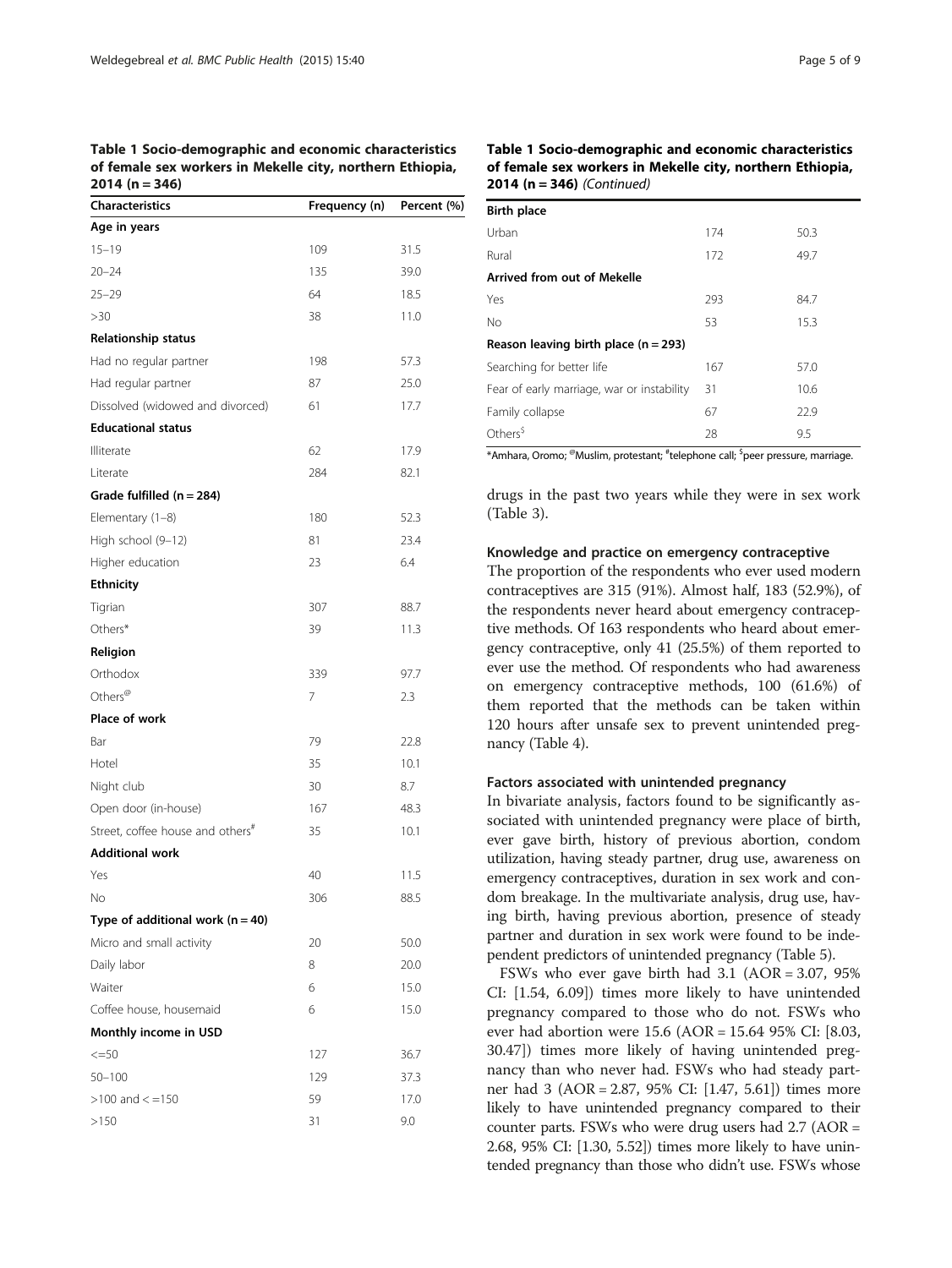<span id="page-4-0"></span>Table 1 Socio-demographic and economic characteristics of female sex workers in Mekelle city, northern Ethiopia,  $2014 (n = 346)$ 

| <b>Characteristics</b>                       | Frequency (n) | Percent (%) |
|----------------------------------------------|---------------|-------------|
| Age in years                                 |               |             |
| $15 - 19$                                    | 109           | 31.5        |
| $20 - 24$                                    | 135           | 39.0        |
| $25 - 29$                                    | 64            | 18.5        |
| >30                                          | 38            | 11.0        |
| <b>Relationship status</b>                   |               |             |
| Had no regular partner                       | 198           | 57.3        |
| Had regular partner                          | 87            | 25.0        |
| Dissolved (widowed and divorced)             | 61            | 17.7        |
| <b>Educational status</b>                    |               |             |
| Illiterate                                   | 62            | 17.9        |
| Literate                                     | 284           | 82.1        |
| Grade fulfilled $(n = 284)$                  |               |             |
| Elementary (1-8)                             | 180           | 52.3        |
| High school (9-12)                           | 81            | 23.4        |
| Higher education                             | 23            | 6.4         |
| <b>Ethnicity</b>                             |               |             |
| Tigrian                                      | 307           | 88.7        |
| Others*                                      | 39            | 11.3        |
| Religion                                     |               |             |
| Orthodox                                     | 339           | 97.7        |
| Others <sup>@</sup>                          | 7             | 2.3         |
| Place of work                                |               |             |
| Bar                                          | 79            | 22.8        |
| Hotel                                        | 35            | 10.1        |
| Night club                                   | 30            | 8.7         |
| Open door (in-house)                         | 167           | 48.3        |
| Street, coffee house and others <sup>#</sup> | 35            | 10.1        |
| <b>Additional work</b>                       |               |             |
| Yes                                          | 40            | 11.5        |
| No                                           | 306           | 88.5        |
| Type of additional work $(n = 40)$           |               |             |
| Micro and small activity                     | 20            | 50.0        |
| Daily labor                                  | 8             | 20.0        |
| Waiter                                       | 6             | 15.0        |
| Coffee house, housemaid                      | 6             | 15.0        |
| Monthly income in USD                        |               |             |
| $<=50$                                       | 127           | 36.7        |
| $50 - 100$                                   | 129           | 37.3        |
| $>100$ and $<-150$                           | 59            | 17.0        |
| >150                                         | 31            | 9.0         |

Table 1 Socio-demographic and economic characteristics of female sex workers in Mekelle city, northern Ethiopia, **2014 (n = 346)** (Continued)

| <b>Birth place</b>                         |     |      |  |  |
|--------------------------------------------|-----|------|--|--|
| Urban                                      | 174 | 50.3 |  |  |
| Rural                                      | 172 | 49.7 |  |  |
| Arrived from out of Mekelle                |     |      |  |  |
| Yes                                        | 293 | 84.7 |  |  |
| <b>No</b>                                  | 53  | 15.3 |  |  |
| Reason leaving birth place $(n = 293)$     |     |      |  |  |
| Searching for better life                  | 167 | 57.0 |  |  |
| Fear of early marriage, war or instability | 31  | 10.6 |  |  |
| Family collapse                            | 67  | 22.9 |  |  |
| Others <sup>\$</sup>                       | 28  | 9.5  |  |  |

\*Amhara, Oromo; @Muslim, protestant; # telephone call; \$ peer pressure, marriage.

drugs in the past two years while they were in sex work (Table [3\)](#page-6-0).

#### Knowledge and practice on emergency contraceptive

The proportion of the respondents who ever used modern contraceptives are 315 (91%). Almost half, 183 (52.9%), of the respondents never heard about emergency contraceptive methods. Of 163 respondents who heard about emergency contraceptive, only 41 (25.5%) of them reported to ever use the method. Of respondents who had awareness on emergency contraceptive methods, 100 (61.6%) of them reported that the methods can be taken within 120 hours after unsafe sex to prevent unintended pregnancy (Table [4](#page-6-0)).

# Factors associated with unintended pregnancy

In bivariate analysis, factors found to be significantly associated with unintended pregnancy were place of birth, ever gave birth, history of previous abortion, condom utilization, having steady partner, drug use, awareness on emergency contraceptives, duration in sex work and condom breakage. In the multivariate analysis, drug use, having birth, having previous abortion, presence of steady partner and duration in sex work were found to be independent predictors of unintended pregnancy (Table [5\)](#page-7-0).

FSWs who ever gave birth had  $3.1 \text{ (AOR } = 3.07, 95\%$ CI: [1.54, 6.09]) times more likely to have unintended pregnancy compared to those who do not. FSWs who ever had abortion were 15.6 (AOR = 15.64 95% CI: [8.03, 30.47]) times more likely of having unintended pregnancy than who never had. FSWs who had steady partner had 3 (AOR = 2.87, 95% CI: [1.47, 5.61]) times more likely to have unintended pregnancy compared to their counter parts. FSWs who were drug users had 2.7 (AOR = 2.68, 95% CI: [1.30, 5.52]) times more likely to have unintended pregnancy than those who didn't use. FSWs whose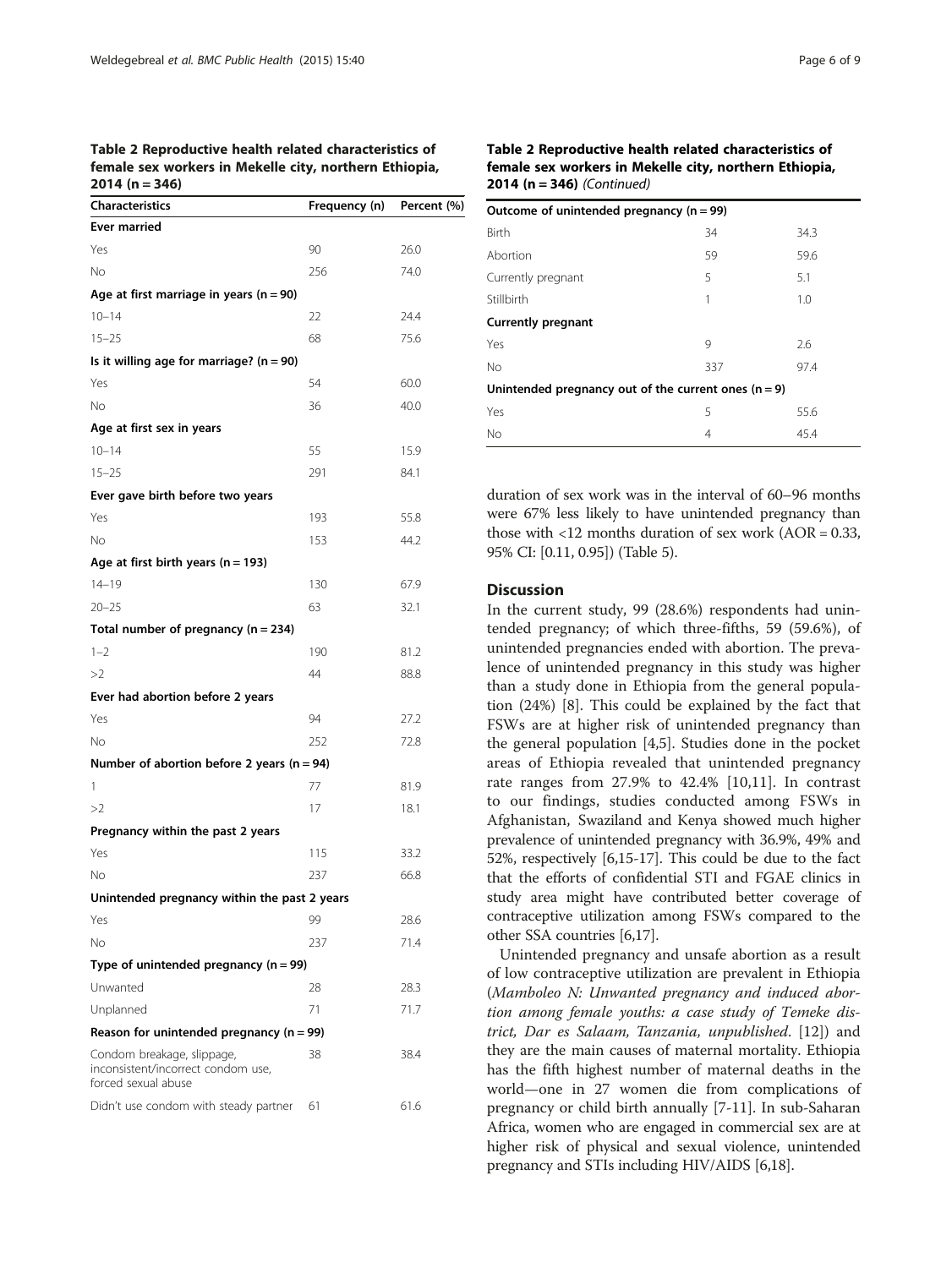<span id="page-5-0"></span>Table 2 Reproductive health related characteristics of female sex workers in Mekelle city, northern Ethiopia,  $2014 (n = 346)$ 

| <b>Characteristics</b>                                                                  | Frequency (n) | Percent (%) |
|-----------------------------------------------------------------------------------------|---------------|-------------|
| Ever married                                                                            |               |             |
| Yes                                                                                     | 90            | 26.0        |
| No                                                                                      | 256           | 74.0        |
| Age at first marriage in years ( $n = 90$ )                                             |               |             |
| $10 - 14$                                                                               | 22            | 24.4        |
| $15 - 25$                                                                               | 68            | 75.6        |
| Is it willing age for marriage? ( $n = 90$ )                                            |               |             |
| Yes                                                                                     | 54            | 60.0        |
| No                                                                                      | 36            | 40.0        |
| Age at first sex in years                                                               |               |             |
| $10 - 14$                                                                               | 55            | 15.9        |
| $15 - 25$                                                                               | 291           | 84.1        |
| Ever gave birth before two years                                                        |               |             |
| Yes                                                                                     | 193           | 55.8        |
| No                                                                                      | 153           | 44.2        |
| Age at first birth years ( $n = 193$ )                                                  |               |             |
| $14 - 19$                                                                               | 130           | 67.9        |
| $20 - 25$                                                                               | 63            | 32.1        |
| Total number of pregnancy $(n = 234)$                                                   |               |             |
| $1 - 2$                                                                                 | 190           | 81.2        |
| >2                                                                                      | 44            | 88.8        |
| Ever had abortion before 2 years                                                        |               |             |
| Yes                                                                                     | 94            | 27.2        |
| No                                                                                      | 252           | 72.8        |
| Number of abortion before 2 years ( $n = 94$ )                                          |               |             |
| 1                                                                                       | 77            | 81.9        |
| >2                                                                                      | 17            | 18.1        |
| Pregnancy within the past 2 years                                                       |               |             |
| Yes                                                                                     | 115           | 33.2        |
| No                                                                                      | 237           | 66.8        |
| Unintended pregnancy within the past 2 years                                            |               |             |
| Yes                                                                                     | 99            | 28.6        |
| No                                                                                      | 237           | 71.4        |
| Type of unintended pregnancy $(n = 99)$                                                 |               |             |
| Unwanted                                                                                | 28            | 28.3        |
| Unplanned                                                                               | 71            | 71.7        |
| Reason for unintended pregnancy ( $n = 99$ )                                            |               |             |
| Condom breakage, slippage,<br>inconsistent/incorrect condom use,<br>forced sexual abuse | 38            | 38.4        |
| Didn't use condom with steady partner                                                   | 61            | 61.6        |
|                                                                                         |               |             |

# Table 2 Reproductive health related characteristics of female sex workers in Mekelle city, northern Ethiopia, **2014 (n = 346)** (Continued)

| Outcome of unintended pregnancy ( $n = 99$ )           |     |      |  |  |
|--------------------------------------------------------|-----|------|--|--|
| <b>Birth</b>                                           | 34  | 34.3 |  |  |
| Abortion                                               | 59  | 59.6 |  |  |
| Currently pregnant                                     | 5   | 5.1  |  |  |
| Stillbirth                                             | 1   | 1.0  |  |  |
| <b>Currently pregnant</b>                              |     |      |  |  |
| Yes                                                    | 9   | 2.6  |  |  |
| <b>No</b>                                              | 337 | 97.4 |  |  |
| Unintended pregnancy out of the current ones $(n = 9)$ |     |      |  |  |
| Yes                                                    | 5   | 55.6 |  |  |
| <b>No</b>                                              | 4   | 45.4 |  |  |

duration of sex work was in the interval of 60–96 months were 67% less likely to have unintended pregnancy than those with  $\langle 12 \text{ months duration of sex work } (AOR = 0.33,$ 95% CI: [0.11, 0.95]) (Table [5\)](#page-7-0).

# Discussion

In the current study, 99 (28.6%) respondents had unintended pregnancy; of which three-fifths, 59 (59.6%), of unintended pregnancies ended with abortion. The prevalence of unintended pregnancy in this study was higher than a study done in Ethiopia from the general population (24%) [[8\]](#page-8-0). This could be explained by the fact that FSWs are at higher risk of unintended pregnancy than the general population [\[4,5](#page-8-0)]. Studies done in the pocket areas of Ethiopia revealed that unintended pregnancy rate ranges from 27.9% to 42.4% [[10,11](#page-8-0)]. In contrast to our findings, studies conducted among FSWs in Afghanistan, Swaziland and Kenya showed much higher prevalence of unintended pregnancy with 36.9%, 49% and 52%, respectively [[6,15](#page-8-0)-[17](#page-8-0)]. This could be due to the fact that the efforts of confidential STI and FGAE clinics in study area might have contributed better coverage of contraceptive utilization among FSWs compared to the other SSA countries [[6,17](#page-8-0)].

Unintended pregnancy and unsafe abortion as a result of low contraceptive utilization are prevalent in Ethiopia (Mamboleo N: Unwanted pregnancy and induced abortion among female youths: a case study of Temeke district, Dar es Salaam, Tanzania, unpublished. [[12\]](#page-8-0)) and they are the main causes of maternal mortality. Ethiopia has the fifth highest number of maternal deaths in the world—one in 27 women die from complications of pregnancy or child birth annually [[7-11\]](#page-8-0). In sub-Saharan Africa, women who are engaged in commercial sex are at higher risk of physical and sexual violence, unintended pregnancy and STIs including HIV/AIDS [\[6,18\]](#page-8-0).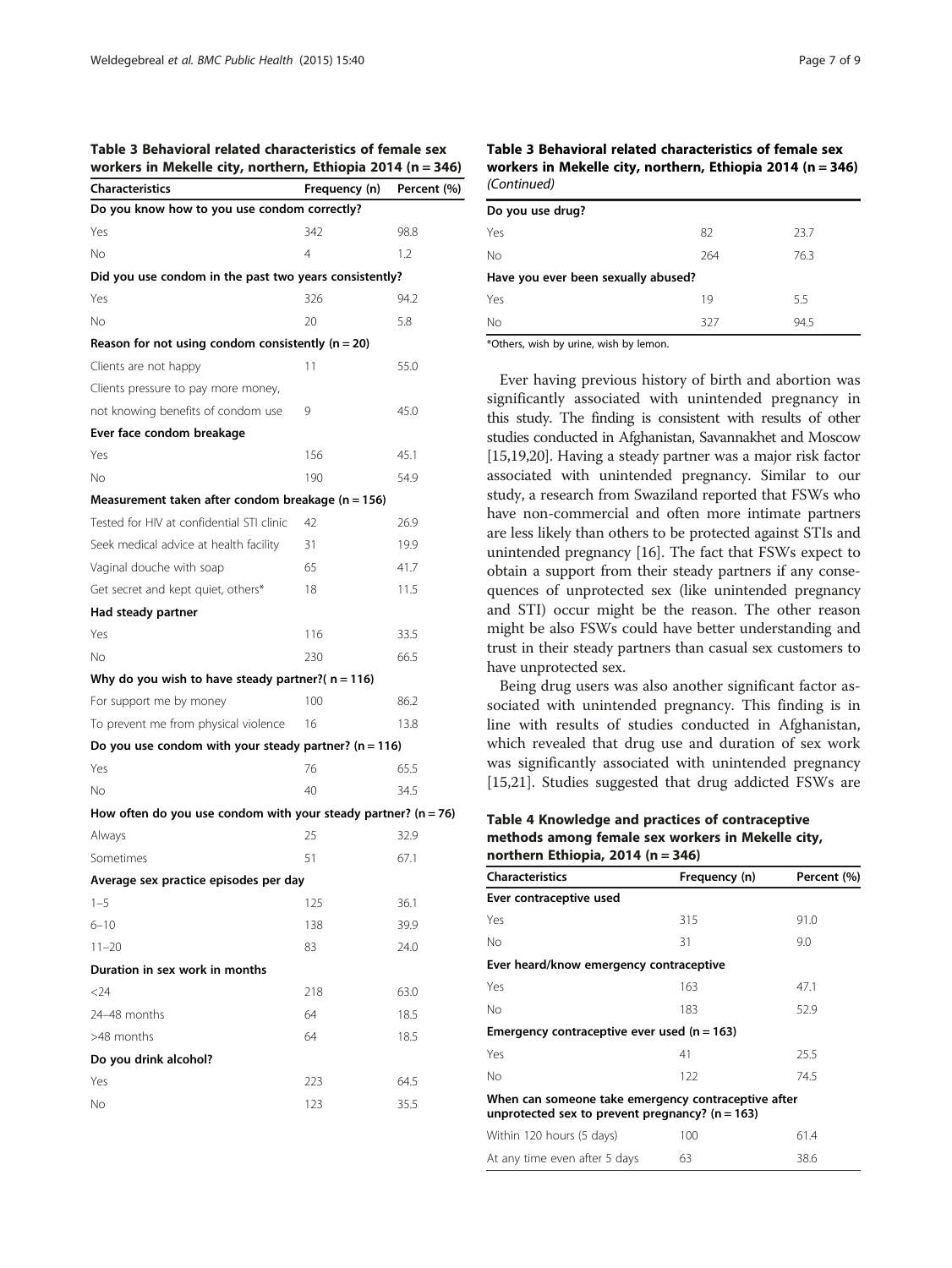<span id="page-6-0"></span>

| Table 3 Behavioral related characteristics of female sex<br>workers in Mekelle city, northern, Ethiopia 2014 (n = 346) |               |             |
|------------------------------------------------------------------------------------------------------------------------|---------------|-------------|
| <b>Characteristics</b>                                                                                                 | Frequency (n) | Percent (%) |
| Do you know how to you use condom correctly?                                                                           |               |             |
| Yes                                                                                                                    | 342           | 98.8        |
| No                                                                                                                     | 4             | 1.2         |
| Did you use condom in the past two years consistently?                                                                 |               |             |
| Yes                                                                                                                    | 326           | 94.2        |
| No                                                                                                                     | 20            | 5.8         |
| Reason for not using condom consistently ( $n = 20$ )                                                                  |               |             |
| Clients are not happy                                                                                                  | 11            | 55.0        |
| Clients pressure to pay more money,                                                                                    |               |             |
| not knowing benefits of condom use                                                                                     | 9             | 45.0        |
| Ever face condom breakage                                                                                              |               |             |
| Yes                                                                                                                    | 156           | 45.1        |
| No                                                                                                                     | 190           | 54.9        |
| Measurement taken after condom breakage (n = 156)                                                                      |               |             |
| Tested for HIV at confidential STI clinic                                                                              | 42            | 26.9        |
| Seek medical advice at health facility                                                                                 | 31            | 19.9        |
| Vaginal douche with soap                                                                                               | 65            | 41.7        |
| Get secret and kept quiet, others*                                                                                     | 18            | 11.5        |
| Had steady partner                                                                                                     |               |             |
| Yes                                                                                                                    | 116           | 33.5        |
| No                                                                                                                     | 230           | 66.5        |
| Why do you wish to have steady partner?( $n = 116$ )                                                                   |               |             |
| For support me by money                                                                                                | 100           | 86.2        |
| To prevent me from physical violence                                                                                   | 16            | 13.8        |
| Do you use condom with your steady partner? ( $n = 116$ )                                                              |               |             |
| Yes                                                                                                                    | 76            | 65.5        |
| No                                                                                                                     | 40            | 34.5        |
| How often do you use condom with your steady partner? ( $n = 76$ )                                                     |               |             |
| Always                                                                                                                 | 25            | 32.9        |
| Sometimes                                                                                                              | 51            | 67.1        |
| Average sex practice episodes per day                                                                                  |               |             |
| $1 - 5$                                                                                                                | 125           | 36.1        |
| $6 - 10$                                                                                                               | 138           | 39.9        |
| $11 - 20$                                                                                                              | 83            | 24.0        |
| Duration in sex work in months                                                                                         |               |             |
| $<$ 24                                                                                                                 | 218           | 63.0        |
| 24-48 months                                                                                                           | 64            | 18.5        |
| >48 months                                                                                                             | 64            | 18.5        |
| Do you drink alcohol?                                                                                                  |               |             |
| Yes                                                                                                                    | 223           | 64.5        |
| $\rm No$                                                                                                               | 123           | 35.5        |

Table 3 Behavioral related characteristics of female sex workers in Mekelle city, northern, Ethiopia 2014 (n = 346) (Continued)

| Do you use drug?                    |     |      |  |
|-------------------------------------|-----|------|--|
| Yes                                 | 82  | 23.7 |  |
| No                                  | 264 | 76.3 |  |
| Have you ever been sexually abused? |     |      |  |
| Yes                                 | 19  | 5.5  |  |
| No                                  | 327 | 94.5 |  |

\*Others, wish by urine, wish by lemon.

Ever having previous history of birth and abortion was significantly associated with unintended pregnancy in this study. The finding is consistent with results of other studies conducted in Afghanistan, Savannakhet and Moscow [[15](#page-8-0),[19,20\]](#page-8-0). Having a steady partner was a major risk factor associated with unintended pregnancy. Similar to our study, a research from Swaziland reported that FSWs who have non-commercial and often more intimate partners are less likely than others to be protected against STIs and unintended pregnancy [\[16\]](#page-8-0). The fact that FSWs expect to obtain a support from their steady partners if any consequences of unprotected sex (like unintended pregnancy and STI) occur might be the reason. The other reason might be also FSWs could have better understanding and trust in their steady partners than casual sex customers to have unprotected sex.

Being drug users was also another significant factor associated with unintended pregnancy. This finding is in line with results of studies conducted in Afghanistan, which revealed that drug use and duration of sex work was significantly associated with unintended pregnancy [[15,21\]](#page-8-0). Studies suggested that drug addicted FSWs are

Table 4 Knowledge and practices of contraceptive methods among female sex workers in Mekelle city, northern Ethiopia, 2014 (n = 346)

| <b>Characteristics</b>                                                                                     | Frequency (n) | Percent (%) |
|------------------------------------------------------------------------------------------------------------|---------------|-------------|
| Ever contraceptive used                                                                                    |               |             |
| Yes                                                                                                        | 315           | 91.0        |
| No                                                                                                         | 31            | 9.0         |
| Ever heard/know emergency contraceptive                                                                    |               |             |
| Yes                                                                                                        | 163           | 47.1        |
| <b>No</b>                                                                                                  | 183           | 52.9        |
| Emergency contraceptive ever used $(n = 163)$                                                              |               |             |
| Yes                                                                                                        | 41            | 25.5        |
| No                                                                                                         | 122           | 74.5        |
| When can someone take emergency contraceptive after<br>unprotected sex to prevent pregnancy? ( $n = 163$ ) |               |             |
| Within 120 hours (5 days)                                                                                  | 100           | 61.4        |
| At any time even after 5 days                                                                              | 63            | 38.6        |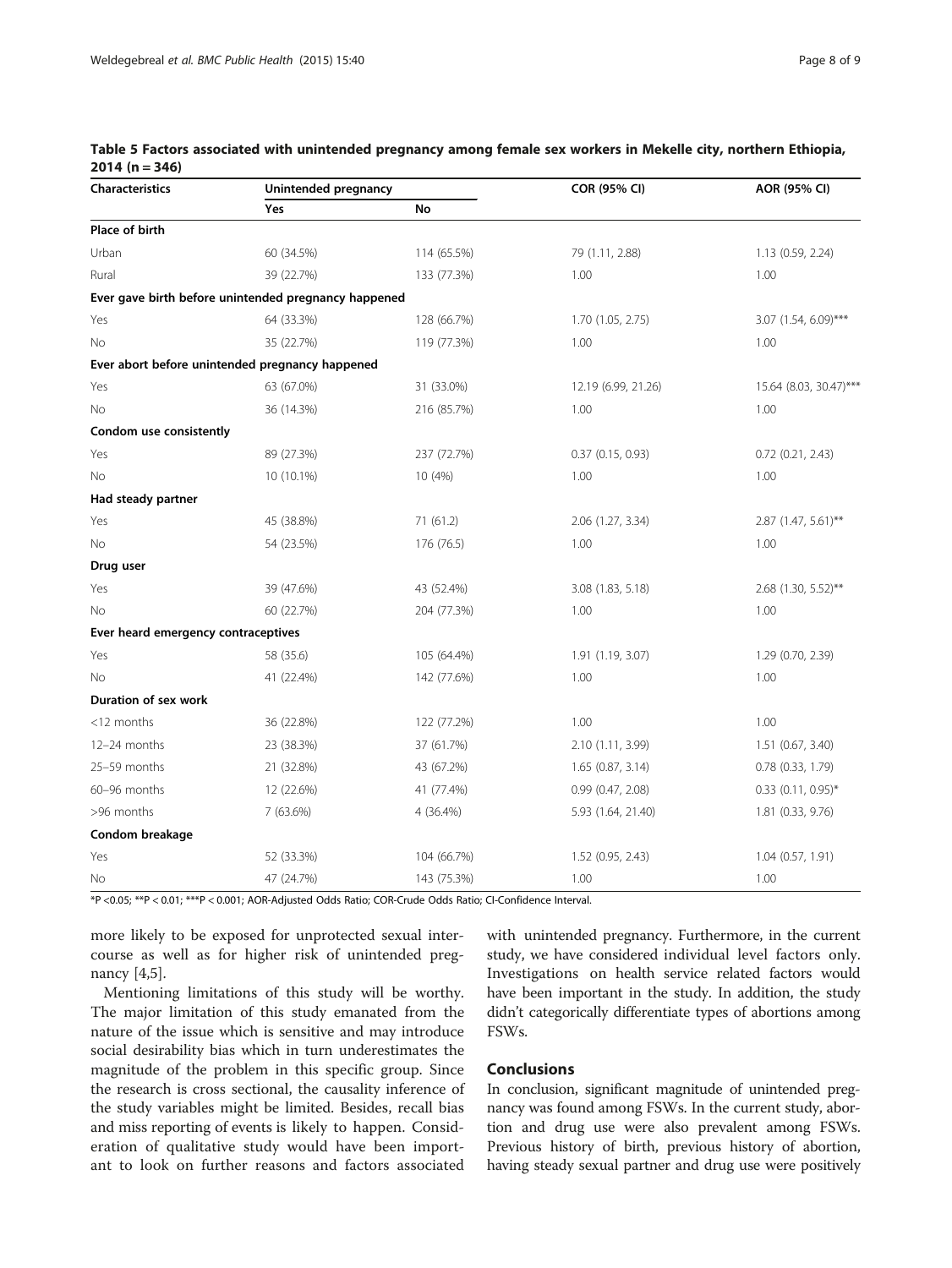| Characteristics                     | Unintended pregnancy                                 |             | COR (95% CI)        | AOR (95% CI)           |
|-------------------------------------|------------------------------------------------------|-------------|---------------------|------------------------|
|                                     | Yes                                                  | No          |                     |                        |
| Place of birth                      |                                                      |             |                     |                        |
| Urban                               | 60 (34.5%)                                           | 114 (65.5%) | 79 (1.11, 2.88)     | 1.13 (0.59, 2.24)      |
| Rural                               | 39 (22.7%)                                           | 133 (77.3%) | 1.00                | 1.00                   |
|                                     | Ever gave birth before unintended pregnancy happened |             |                     |                        |
| Yes                                 | 64 (33.3%)                                           | 128 (66.7%) | 1.70 (1.05, 2.75)   | 3.07 (1.54, 6.09)***   |
| <b>No</b>                           | 35 (22.7%)                                           | 119 (77.3%) | 1.00                | 1.00                   |
|                                     | Ever abort before unintended pregnancy happened      |             |                     |                        |
| Yes                                 | 63 (67.0%)                                           | 31 (33.0%)  | 12.19 (6.99, 21.26) | 15.64 (8.03, 30.47)*** |
| No                                  | 36 (14.3%)                                           | 216 (85.7%) | 1.00                | 1.00                   |
| Condom use consistently             |                                                      |             |                     |                        |
| Yes                                 | 89 (27.3%)                                           | 237 (72.7%) | 0.37(0.15, 0.93)    | $0.72$ $(0.21, 2.43)$  |
| <b>No</b>                           | 10 (10.1%)                                           | 10 (4%)     | 1.00                | 1.00                   |
| Had steady partner                  |                                                      |             |                     |                        |
| Yes                                 | 45 (38.8%)                                           | 71 (61.2)   | 2.06 (1.27, 3.34)   | $2.87$ (1.47, 5.61)**  |
| <b>No</b>                           | 54 (23.5%)                                           | 176 (76.5)  | 1.00                | 1.00                   |
| Drug user                           |                                                      |             |                     |                        |
| Yes                                 | 39 (47.6%)                                           | 43 (52.4%)  | 3.08 (1.83, 5.18)   | 2.68 (1.30, 5.52)**    |
| No                                  | 60 (22.7%)                                           | 204 (77.3%) | 1.00                | 1.00                   |
| Ever heard emergency contraceptives |                                                      |             |                     |                        |
| Yes                                 | 58 (35.6)                                            | 105 (64.4%) | 1.91 (1.19, 3.07)   | 1.29 (0.70, 2.39)      |
| <b>No</b>                           | 41 (22.4%)                                           | 142 (77.6%) | 1.00                | 1.00                   |
| Duration of sex work                |                                                      |             |                     |                        |
| <12 months                          | 36 (22.8%)                                           | 122 (77.2%) | 1.00                | 1.00                   |
| 12-24 months                        | 23 (38.3%)                                           | 37 (61.7%)  | 2.10 (1.11, 3.99)   | 1.51 (0.67, 3.40)      |
| 25-59 months                        | 21 (32.8%)                                           | 43 (67.2%)  | $1.65$ (0.87, 3.14) | $0.78$ $(0.33, 1.79)$  |
| 60-96 months                        | 12 (22.6%)                                           | 41 (77.4%)  | 0.99(0.47, 2.08)    | $0.33$ (0.11, 0.95)*   |
| >96 months                          | 7 (63.6%)                                            | 4 (36.4%)   | 5.93 (1.64, 21.40)  | 1.81 (0.33, 9.76)      |
| Condom breakage                     |                                                      |             |                     |                        |
| Yes                                 | 52 (33.3%)                                           | 104 (66.7%) | 1.52 (0.95, 2.43)   | 1.04 (0.57, 1.91)      |
| No                                  | 47 (24.7%)                                           | 143 (75.3%) | 1.00                | 1.00                   |

<span id="page-7-0"></span>

| Table 5 Factors associated with unintended pregnancy among female sex workers in Mekelle city, northern Ethiopia, |  |  |
|-------------------------------------------------------------------------------------------------------------------|--|--|
| $2014 (n = 346)$                                                                                                  |  |  |

\*P <0.05; \*\*P < 0.01; \*\*\*P < 0.001; AOR-Adjusted Odds Ratio; COR-Crude Odds Ratio; CI-Confidence Interval.

more likely to be exposed for unprotected sexual intercourse as well as for higher risk of unintended pregnancy [[4,5\]](#page-8-0).

Mentioning limitations of this study will be worthy. The major limitation of this study emanated from the nature of the issue which is sensitive and may introduce social desirability bias which in turn underestimates the magnitude of the problem in this specific group. Since the research is cross sectional, the causality inference of the study variables might be limited. Besides, recall bias and miss reporting of events is likely to happen. Consideration of qualitative study would have been important to look on further reasons and factors associated

with unintended pregnancy. Furthermore, in the current study, we have considered individual level factors only. Investigations on health service related factors would have been important in the study. In addition, the study didn't categorically differentiate types of abortions among FSWs.

# Conclusions

In conclusion, significant magnitude of unintended pregnancy was found among FSWs. In the current study, abortion and drug use were also prevalent among FSWs. Previous history of birth, previous history of abortion, having steady sexual partner and drug use were positively